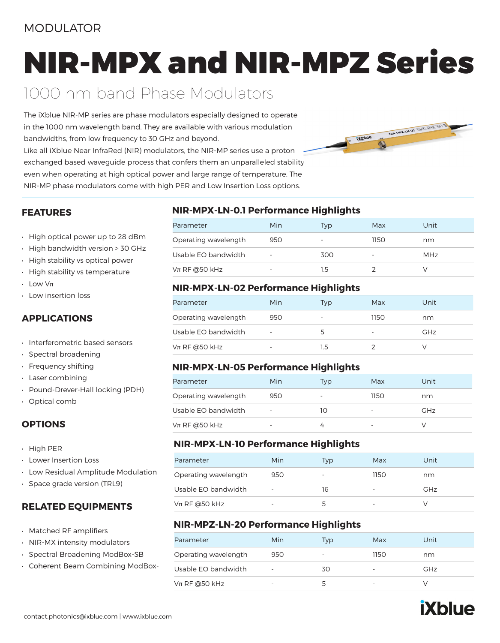### MODULATOR

# NIR-MPX and NIR-MPZ Series

## 1000 nm band Phase Modulators

The iXblue NIR-MP series are phase modulators especially designed to operate in the 1000 nm wavelength band. They are available with various modulation bandwidths, from low frequency to 30 GHz and beyond. Like all iXblue Near InfraRed (NIR) modulators, the NIR-MP series use a proton exchanged based waveguide process that confers them an unparalleled stability even when operating at high optical power and large range of temperature. The NIR-MP phase modulators come with high PER and Low Insertion Loss options.



#### **FEATURES**

- High optical power up to 28 dBm
- High bandwidth version > 30 GHz
- High stability vs optical power
- High stability vs temperature
- $\cdot$  Low V $\pi$
- Low insertion loss

#### **APPLICATIONS**

- Interferometric based sensors
- Spectral broadening
- Frequency shifting
- Laser combining
- Pound-Drever-Hall locking (PDH)
- Optical comb

#### **OPTIONS**

- High PER
- Lower Insertion Loss
- Low Residual Amplitude Modulation
- Space grade version (TRL9)

#### **RELATED EQUIPMENTS**

- Matched RF amplifiers
- NIR-MX intensity modulators
- Spectral Broadening ModBox-SB
- Coherent Beam Combining ModBox-

#### **NIR-MPX-LN-0.1 Performance Highlights**

| Parameter            | Min                      | Tvp | Max                      | Unit |
|----------------------|--------------------------|-----|--------------------------|------|
| Operating wavelength | 950                      | -   | 1150                     | nm   |
| Usable EO bandwidth  |                          | 300 | $\overline{\phantom{a}}$ | MHz  |
| $Vπ$ RF @50 kHz      | $\overline{\phantom{a}}$ | 1.5 |                          |      |

#### **NIR-MPX-LN-02 Performance Highlights**

| Parameter            | Min                      | Typ | Max  | Unit       |
|----------------------|--------------------------|-----|------|------------|
| Operating wavelength | 950                      |     | 1150 | nm         |
| Usable EO bandwidth  | $\overline{\phantom{a}}$ |     |      | <b>GHz</b> |
| $Vπ$ RF @50 kHz      | $\overline{\phantom{a}}$ | 1.5 |      |            |

#### **NIR-MPX-LN-05 Performance Highlights**

| Parameter            | Min                      | Typ | Max                      | Unit       |
|----------------------|--------------------------|-----|--------------------------|------------|
| Operating wavelength | 950                      |     | 1150.                    | nm         |
| Usable EO bandwidth  | $\overline{\phantom{a}}$ | 10  | $\overline{\phantom{a}}$ | <b>GHz</b> |
| $Vπ$ RF @50 kHz      | $\overline{\phantom{0}}$ |     |                          |            |

#### **NIR-MPX-LN-10 Performance Highlights**

| Parameter            | Min | Typ | Max  | Unit       |
|----------------------|-----|-----|------|------------|
| Operating wavelength | 950 | -   | 1150 | nm         |
| Usable EO bandwidth  |     | 16  |      | <b>GHz</b> |
| $V$ π RF @50 kHz     | -   |     |      |            |

#### **NIR-MPZ-LN-20 Performance Highlights**

| Parameter            | Min | Typ | Max  | Unit       |
|----------------------|-----|-----|------|------------|
| Operating wavelength | 950 | -   | 1150 | nm         |
| Usable EO bandwidth  |     | 30  |      | <b>GHz</b> |
| $Vπ$ RF @50 kHz      |     |     |      |            |

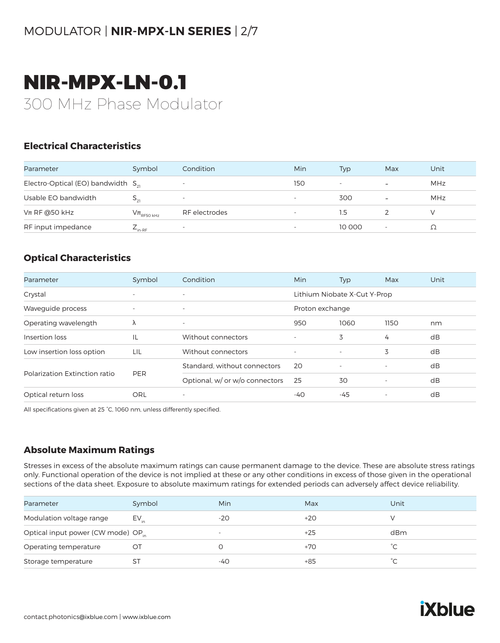### MODULATOR | **NIR-MPX-LN SERIES** | 2/7

# NIR-MPX-LN-0.1 300 MHz Phase Modulator

#### **Electrical Characteristics**

| Parameter                               | Symbol                 | Condition                | Min | Typ                      | Max                      | Unit |
|-----------------------------------------|------------------------|--------------------------|-----|--------------------------|--------------------------|------|
| Electro-Optical (EO) bandwidth $S_{21}$ |                        | $\overline{\phantom{a}}$ | 150 | $\overline{\phantom{a}}$ | $\overline{\phantom{a}}$ | MHz  |
| Usable EO bandwidth                     |                        | -                        |     | 300                      | $\overline{\phantom{0}}$ | MHz  |
| $Vπ$ RF @50 kHz                         | $\rm V\pi_{RF50\,kHz}$ | RF electrodes            |     | 1.5                      |                          |      |
| RF input impedance                      | $E_{\text{in-RF}}$     | $\overline{\phantom{0}}$ |     | 10 000                   |                          |      |

#### **Optical Characteristics**

| Parameter                     | Symbol     | Condition                      | Min             | <b>Typ</b>                   | Max  | Unit |
|-------------------------------|------------|--------------------------------|-----------------|------------------------------|------|------|
| Crystal                       |            | $\overline{\phantom{0}}$       |                 | Lithium Niobate X-Cut Y-Prop |      |      |
| Wavequide process             |            | $\overline{\phantom{a}}$       | Proton exchange |                              |      |      |
| Operating wavelength          | λ          | $\overline{\phantom{a}}$       | 950             | 1060                         | 1150 | nm   |
| Insertion loss                | IL         | Without connectors             |                 | 3                            | 4    | dB   |
| Low insertion loss option     | LIL        | Without connectors             |                 | $\overline{\phantom{a}}$     | 3    | dB   |
|                               |            | Standard, without connectors   | 20              | $\overline{\phantom{a}}$     |      | dB   |
| Polarization Extinction ratio | <b>PER</b> | Optional, w/ or w/o connectors | 25              | 30                           |      | dB   |
| Optical return loss           | ORL        | $\overline{\phantom{a}}$       | $-40$           | $-45$                        |      | dB   |

All specifications given at 25 °C, 1060 nm, unless differently specified.

#### **Absolute Maximum Ratings**

Stresses in excess of the absolute maximum ratings can cause permanent damage to the device. These are absolute stress ratings only. Functional operation of the device is not implied at these or any other conditions in excess of those given in the operational sections of the data sheet. Exposure to absolute maximum ratings for extended periods can adversely affect device reliability.

| Parameter                                      | Symbol    | Min                      | Max   | Unit |
|------------------------------------------------|-----------|--------------------------|-------|------|
| Modulation voltage range                       | $EV_{in}$ | $-20$                    | $+20$ |      |
| Optical input power (CW mode) OP <sub>in</sub> |           | $\overline{\phantom{0}}$ | $+25$ | dBm  |
| Operating temperature                          | O1        |                          | $+70$ |      |
| Storage temperature                            | S1        | -40                      | $+85$ | ∽    |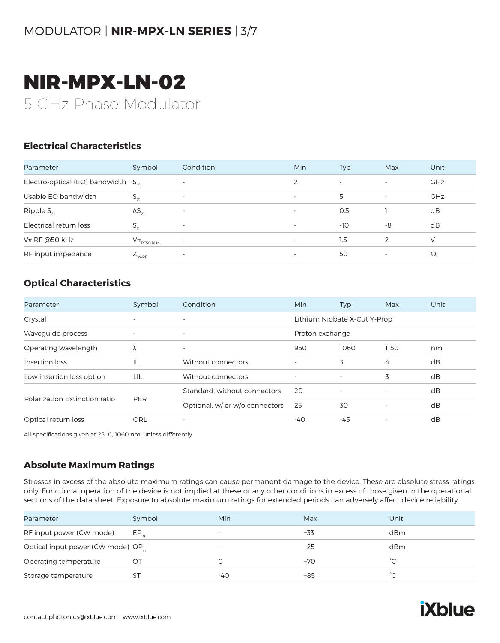### MODULATOR | **NIR-MPX-LN SERIES** | 3/7

# NIR-MPX-LN-02 5 GHz Phase Modulator

#### **Electrical Characteristics**

| Parameter                               | Symbol                     | Condition                | Min                      | Typ                      | Max                      | Unit       |
|-----------------------------------------|----------------------------|--------------------------|--------------------------|--------------------------|--------------------------|------------|
| Electro-optical (EO) bandwidth $S_{21}$ |                            | $\overline{\phantom{a}}$ |                          | $\overline{\phantom{a}}$ | $\overline{\phantom{a}}$ | <b>GHz</b> |
| Usable EO bandwidth                     | $S_{21}$                   | $\overline{\phantom{a}}$ | $\overline{\phantom{0}}$ | 5                        | $\overline{\phantom{a}}$ | <b>GHz</b> |
| Ripple $S_{21}$                         | $\Delta S_{21}$            | $\overline{\phantom{a}}$ | $\overline{\phantom{a}}$ | O.5                      |                          | dB         |
| Electrical return loss                  | $S_{ii}$                   | $\overline{\phantom{a}}$ | $\overline{\phantom{0}}$ | $-10$                    | -8                       | dB         |
| $Vπ$ RF @50 kHz                         | $V\pi$ <sub>RF50 kHz</sub> | $\overline{\phantom{0}}$ | $\overline{\phantom{0}}$ | 1.5                      | 2                        | $\vee$     |
| RF input impedance                      | $L_{\text{in-RF}}$         | $\overline{\phantom{0}}$ |                          | 50                       | $\overline{\phantom{0}}$ | Ω          |

#### **Optical Characteristics**

| Parameter                     | Symbol                   | Condition                      | Min                      | Typ                          | Max                      | Unit |  |
|-------------------------------|--------------------------|--------------------------------|--------------------------|------------------------------|--------------------------|------|--|
| Crystal                       | $\overline{\phantom{a}}$ | $\overline{\phantom{a}}$       |                          | Lithium Niobate X-Cut Y-Prop |                          |      |  |
| Waveguide process             | $\overline{\phantom{a}}$ | $\overline{\phantom{a}}$       | Proton exchange          |                              |                          |      |  |
| Operating wavelength          | λ                        | $\overline{\phantom{a}}$       | 950                      | 1060                         | 1150                     | nm   |  |
| Insertion loss                | IL                       | Without connectors             |                          | 3                            | 4                        | dB   |  |
| Low insertion loss option     | LIL                      | Without connectors             | $\overline{\phantom{a}}$ | $\overline{\phantom{a}}$     | 3                        | dB   |  |
|                               | <b>PER</b>               | Standard, without connectors   | 20                       | $\overline{\phantom{a}}$     | $\overline{\phantom{a}}$ | dB   |  |
| Polarization Extinction ratio |                          | Optional, w/ or w/o connectors | 25                       | 30                           | $\overline{\phantom{a}}$ | dB   |  |
| Optical return loss           | ORL                      | $\overline{\phantom{a}}$       | -40                      | -45                          |                          | dB   |  |

All specifications given at 25 °C, 1060 nm, unless differently

#### **Absolute Maximum Ratings**

Stresses in excess of the absolute maximum ratings can cause permanent damage to the device. These are absolute stress ratings only. Functional operation of the device is not implied at these or any other conditions in excess of those given in the operational sections of the data sheet. Exposure to absolute maximum ratings for extended periods can adversely affect device reliability.

| Parameter                                      | Symbol    | Min                      | Max   | Unit |
|------------------------------------------------|-----------|--------------------------|-------|------|
| RF input power (CW mode)                       | $EP_{in}$ | $\overline{\phantom{a}}$ | +33   | dBm  |
| Optical input power (CW mode) OP <sub>in</sub> |           | $\overline{\phantom{0}}$ | $+25$ | dBm  |
| Operating temperature                          | OT        |                          | $+70$ |      |
| Storage temperature                            | ST        | -40                      | $+85$ | °∕   |

**iXblue**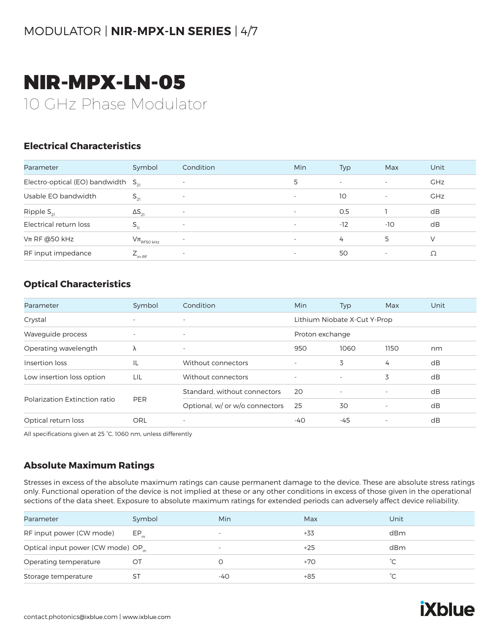### MODULATOR | **NIR-MPX-LN SERIES** | 4/7

# NIR-MPX-LN-05 10 GHz Phase Modulator

#### **Electrical Characteristics**

| Parameter                               | Symbol                     | Condition                | Min                      | Typ    | Max                      | Unit       |
|-----------------------------------------|----------------------------|--------------------------|--------------------------|--------|--------------------------|------------|
| Electro-optical (EO) bandwidth $S_{21}$ |                            | $\overline{\phantom{0}}$ | 5                        | $\sim$ | $\overline{\phantom{a}}$ | <b>GHz</b> |
| Usable EO bandwidth                     | $S_{21}$                   | $\overline{\phantom{a}}$ | $\overline{\phantom{0}}$ | 10     | $\overline{\phantom{0}}$ | <b>GHz</b> |
| Ripple $S_{21}$                         | $\Delta S_{21}$            | $\overline{\phantom{a}}$ | $\overline{\phantom{a}}$ | 0.5    |                          | dB         |
| Electrical return loss                  | $S_{\nu}$                  | $\overline{\phantom{a}}$ | $\overline{\phantom{0}}$ | $-12$  | $-10$                    | dB         |
| $Vπ$ RF @50 kHz                         | $V\pi$ <sub>RF50 kHz</sub> | $\overline{\phantom{a}}$ | $\overline{\phantom{a}}$ | 4      | 5                        | $\vee$     |
| RF input impedance                      | $E_{\text{in-RF}}$         | $\overline{\phantom{a}}$ |                          | 50     | -                        | Ω          |

#### **Optical Characteristics**

| Parameter                     | Symbol                   | Condition                      | Min                      | <b>Typ</b>                   | Max                      | Unit |
|-------------------------------|--------------------------|--------------------------------|--------------------------|------------------------------|--------------------------|------|
| Crystal                       | $\overline{\phantom{a}}$ | $\overline{\phantom{a}}$       |                          | Lithium Niobate X-Cut Y-Prop |                          |      |
| Wavequide process             | $\overline{\phantom{a}}$ | $\overline{\phantom{a}}$       | Proton exchange          |                              |                          |      |
| Operating wavelength          | λ                        | $\overline{\phantom{a}}$       | 950                      | 1060                         | 1150                     | nm   |
| Insertion loss                | ΙL                       | Without connectors             | ٠                        | 3                            | 4                        | dB   |
| Low insertion loss option     | LIL                      | Without connectors             | $\overline{\phantom{a}}$ | $\overline{\phantom{a}}$     | 3                        | dB   |
| Polarization Extinction ratio | <b>PER</b>               | Standard, without connectors   | 20                       | $\overline{\phantom{a}}$     | $\overline{\phantom{a}}$ | dB   |
|                               |                          | Optional, w/ or w/o connectors | 25                       | 30                           | $\overline{\phantom{a}}$ | dB   |
| Optical return loss           | ORL                      | $\overline{\phantom{a}}$       | -40                      | -45                          | $\overline{\phantom{a}}$ | dB   |

All specifications given at 25 °C, 1060 nm, unless differently

#### **Absolute Maximum Ratings**

Stresses in excess of the absolute maximum ratings can cause permanent damage to the device. These are absolute stress ratings only. Functional operation of the device is not implied at these or any other conditions in excess of those given in the operational sections of the data sheet. Exposure to absolute maximum ratings for extended periods can adversely affect device reliability.

| Parameter                                      | Symbol    | Min                      | Max   | Unit |
|------------------------------------------------|-----------|--------------------------|-------|------|
| RF input power (CW mode)                       | $EP_{in}$ | $\overline{\phantom{a}}$ | +33   | dBm  |
| Optical input power (CW mode) OP <sub>in</sub> |           | $\overline{\phantom{a}}$ | $+25$ | dBm  |
| Operating temperature                          | OT        |                          | +70   | °C.  |
| Storage temperature                            | S1        | -40                      | +85   | ∽    |

**iXblue**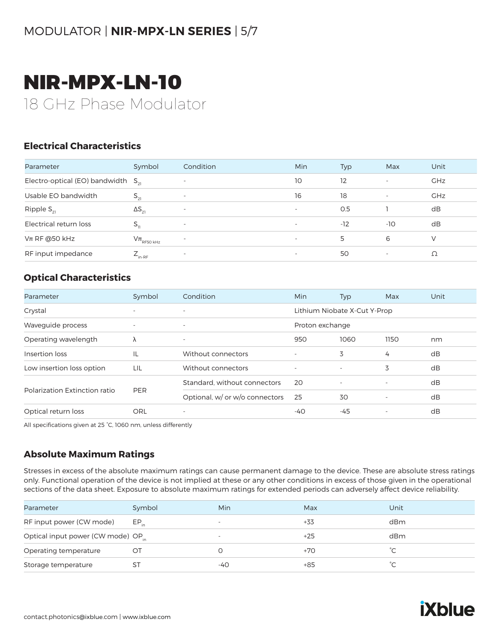### MODULATOR | **NIR-MPX-LN SERIES** | 5/7

# NIR-MPX-LN-10 18 GHz Phase Modulator

#### **Electrical Characteristics**

| Parameter                               | Symbol                     | Condition                | Min                      | Typ   | Max                      | Unit       |
|-----------------------------------------|----------------------------|--------------------------|--------------------------|-------|--------------------------|------------|
| Electro-optical (EO) bandwidth $S_{21}$ |                            | $\overline{\phantom{a}}$ | 10                       | 12    | $\overline{\phantom{0}}$ | <b>GHz</b> |
| Usable EO bandwidth                     | $S_{21}$                   | $\overline{\phantom{a}}$ | 16                       | 18    | $\overline{\phantom{a}}$ | <b>GHz</b> |
| Ripple $S_{21}$                         | $\Delta S_{21}$            | $\overline{\phantom{a}}$ | $\overline{\phantom{a}}$ | 0.5   |                          | dB         |
| Electrical return loss                  | $S_{11}$                   | $\overline{\phantom{a}}$ | $\overline{\phantom{0}}$ | $-12$ | $-10$                    | dB         |
| $Vπ$ RF @50 kHz                         | $V\pi$ <sub>RF50 kHz</sub> | $\overline{\phantom{a}}$ | $\overline{\phantom{0}}$ | 5     | 6                        | $\vee$     |
| RF input impedance                      | $E_{\text{in-RF}}$         | $\overline{\phantom{a}}$ | $\overline{\phantom{0}}$ | 50    | ٠                        | Ω          |

#### **Optical Characteristics**

| Parameter                     | Symbol                   | Condition                      | Min                      | Typ                          | Max                      | Unit |
|-------------------------------|--------------------------|--------------------------------|--------------------------|------------------------------|--------------------------|------|
| Crystal                       | $\overline{\phantom{a}}$ | $\overline{\phantom{0}}$       |                          | Lithium Niobate X-Cut Y-Prop |                          |      |
| Waveguide process             | $\overline{\phantom{a}}$ | $\overline{\phantom{a}}$       | Proton exchange          |                              |                          |      |
| Operating wavelength          | λ                        | $\overline{\phantom{a}}$       | 950                      | 1060                         | 1150                     | nm   |
| Insertion loss                | ΙL                       | Without connectors             |                          | 3                            | 4                        | dB   |
| Low insertion loss option     | LIL                      | Without connectors             | $\overline{\phantom{a}}$ | $\overline{\phantom{a}}$     | 3                        | dB   |
|                               |                          | Standard, without connectors   | 20                       | $\overline{\phantom{a}}$     |                          | dB   |
| Polarization Extinction ratio | <b>PER</b>               | Optional, w/ or w/o connectors | 25                       | 30                           | $\overline{\phantom{a}}$ | dB   |
| Optical return loss           | ORL                      | $\overline{\phantom{a}}$       | -40                      | -45                          | $\overline{\phantom{a}}$ | dB   |

All specifications given at 25 °C, 1060 nm, unless differently

#### **Absolute Maximum Ratings**

Stresses in excess of the absolute maximum ratings can cause permanent damage to the device. These are absolute stress ratings only. Functional operation of the device is not implied at these or any other conditions in excess of those given in the operational sections of the data sheet. Exposure to absolute maximum ratings for extended periods can adversely affect device reliability.

| Parameter                                      | Symbol    | Min                      | Max   | Unit |
|------------------------------------------------|-----------|--------------------------|-------|------|
| RF input power (CW mode)                       | $EP_{in}$ | ۰                        | $+33$ | dBm  |
| Optical input power (CW mode) OP <sub>in</sub> |           | $\overline{\phantom{0}}$ | $+25$ | dBm  |
| Operating temperature                          | OT        |                          | $+70$ | °С   |
| Storage temperature                            |           | -40                      | +85   | ∽    |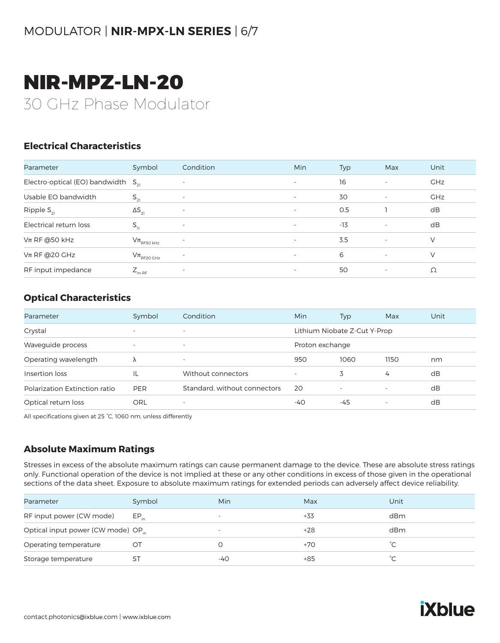# NIR-MPZ-LN-20 30 GHz Phase Modulator

#### **Electrical Characteristics**

| Parameter                               | Symbol                     | Condition                | <b>Min</b>               | Typ   | Max                      | Unit       |
|-----------------------------------------|----------------------------|--------------------------|--------------------------|-------|--------------------------|------------|
| Electro-optical (EO) bandwidth $S_{21}$ |                            | $\overline{\phantom{a}}$ | $\overline{\phantom{a}}$ | 16    | $\overline{\phantom{a}}$ | <b>GHz</b> |
| Usable EO bandwidth                     | $S_{21}$                   | $\overline{\phantom{a}}$ | $\overline{\phantom{a}}$ | 30    | -                        | <b>GHz</b> |
| Ripple $S_{21}$                         | $\Delta S_{21}$            | $\overline{\phantom{a}}$ | $\overline{\phantom{a}}$ | O.5   |                          | dB         |
| Electrical return loss                  | $S_{11}$                   | $\overline{\phantom{a}}$ | $\overline{\phantom{a}}$ | $-13$ | $\overline{\phantom{a}}$ | dB         |
| $Vπ$ RF @50 kHz                         | $V\pi$ <sub>RF50 kHz</sub> | $\overline{\phantom{a}}$ | $\overline{\phantom{a}}$ | 3.5   | $\overline{\phantom{a}}$ | V          |
| $Vπ$ RF @20 GHz                         | $V\pi$ <sub>RF20 GHz</sub> | $\overline{\phantom{a}}$ | $\overline{\phantom{a}}$ | 6     | $\sim$                   | V          |
| RF input impedance                      | $Z_{_{\text{in-RF}}}$      | $\overline{\phantom{a}}$ | $\overline{\phantom{a}}$ | 50    | -                        | Ω          |

#### **Optical Characteristics**

| Parameter                     | Symbol                   | Condition                    | Min             | <b>Typ</b>                   | Max                      | Unit |
|-------------------------------|--------------------------|------------------------------|-----------------|------------------------------|--------------------------|------|
| Crystal                       | $\overline{\phantom{0}}$ | $\overline{\phantom{a}}$     |                 | Lithium Niobate Z-Cut Y-Prop |                          |      |
| Waveguide process             | $\overline{\phantom{0}}$ | $\overline{\phantom{a}}$     | Proton exchange |                              |                          |      |
| Operating wavelength          | λ                        | $\overline{\phantom{a}}$     | 950             | 1060                         | 1150                     | nm   |
| Insertion loss                | IL                       | Without connectors           |                 | 3                            | 4                        | dB   |
| Polarization Extinction ratio | <b>PER</b>               | Standard, without connectors | 20              | $\overline{\phantom{a}}$     | $\overline{\phantom{0}}$ | dB   |
| Optical return loss           | ORL                      | $\overline{\phantom{a}}$     | -40             | -45                          | $\overline{\phantom{a}}$ | dB   |

All specifications given at 25 °C, 1060 nm, unless differently

#### **Absolute Maximum Ratings**

Stresses in excess of the absolute maximum ratings can cause permanent damage to the device. These are absolute stress ratings only. Functional operation of the device is not implied at these or any other conditions in excess of those given in the operational sections of the data sheet. Exposure to absolute maximum ratings for extended periods can adversely affect device reliability.

| Parameter                                      | Symbol    | Min                      | Max   | Unit |
|------------------------------------------------|-----------|--------------------------|-------|------|
| RF input power (CW mode)                       | $EP_{in}$ | $\overline{\phantom{a}}$ | +33   | dBm  |
| Optical input power (CW mode) OP <sub>in</sub> |           | $\overline{\phantom{a}}$ | +28   | dBm  |
| Operating temperature                          |           |                          | $+70$ |      |
| Storage temperature                            |           | -40                      | +85   | ົ    |